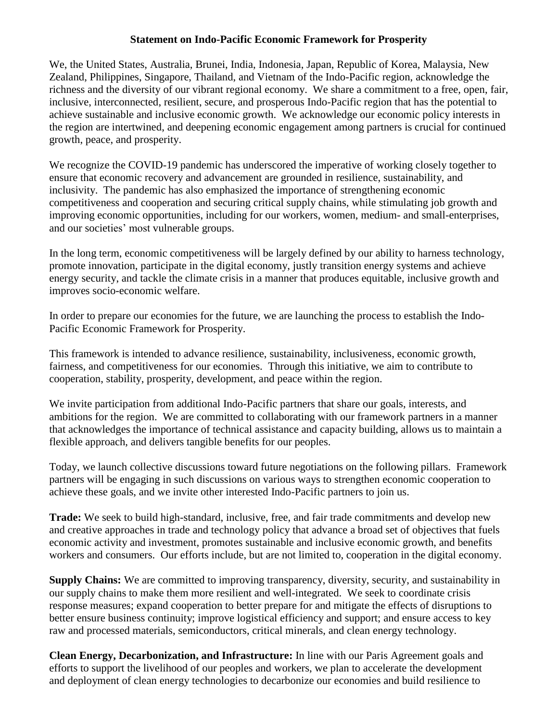## **Statement on Indo-Pacific Economic Framework for Prosperity**

We, the United States, Australia, Brunei, India, Indonesia, Japan, Republic of Korea, Malaysia, New Zealand, Philippines, Singapore, Thailand, and Vietnam of the Indo-Pacific region, acknowledge the richness and the diversity of our vibrant regional economy. We share a commitment to a free, open, fair, inclusive, interconnected, resilient, secure, and prosperous Indo-Pacific region that has the potential to achieve sustainable and inclusive economic growth. We acknowledge our economic policy interests in the region are intertwined, and deepening economic engagement among partners is crucial for continued growth, peace, and prosperity.

We recognize the COVID-19 pandemic has underscored the imperative of working closely together to ensure that economic recovery and advancement are grounded in resilience, sustainability, and inclusivity. The pandemic has also emphasized the importance of strengthening economic competitiveness and cooperation and securing critical supply chains, while stimulating job growth and improving economic opportunities, including for our workers, women, medium- and small-enterprises, and our societies' most vulnerable groups.

In the long term, economic competitiveness will be largely defined by our ability to harness technology, promote innovation, participate in the digital economy, justly transition energy systems and achieve energy security, and tackle the climate crisis in a manner that produces equitable, inclusive growth and improves socio-economic welfare.

In order to prepare our economies for the future, we are launching the process to establish the Indo-Pacific Economic Framework for Prosperity.

This framework is intended to advance resilience, sustainability, inclusiveness, economic growth, fairness, and competitiveness for our economies. Through this initiative, we aim to contribute to cooperation, stability, prosperity, development, and peace within the region.

We invite participation from additional Indo-Pacific partners that share our goals, interests, and ambitions for the region. We are committed to collaborating with our framework partners in a manner that acknowledges the importance of technical assistance and capacity building, allows us to maintain a flexible approach, and delivers tangible benefits for our peoples.

Today, we launch collective discussions toward future negotiations on the following pillars. Framework partners will be engaging in such discussions on various ways to strengthen economic cooperation to achieve these goals, and we invite other interested Indo-Pacific partners to join us.

**Trade:** We seek to build high-standard, inclusive, free, and fair trade commitments and develop new and creative approaches in trade and technology policy that advance a broad set of objectives that fuels economic activity and investment, promotes sustainable and inclusive economic growth, and benefits workers and consumers. Our efforts include, but are not limited to, cooperation in the digital economy.

**Supply Chains:** We are committed to improving transparency, diversity, security, and sustainability in our supply chains to make them more resilient and well-integrated. We seek to coordinate crisis response measures; expand cooperation to better prepare for and mitigate the effects of disruptions to better ensure business continuity; improve logistical efficiency and support; and ensure access to key raw and processed materials, semiconductors, critical minerals, and clean energy technology.

**Clean Energy, Decarbonization, and Infrastructure:** In line with our Paris Agreement goals and efforts to support the livelihood of our peoples and workers, we plan to accelerate the development and deployment of clean energy technologies to decarbonize our economies and build resilience to